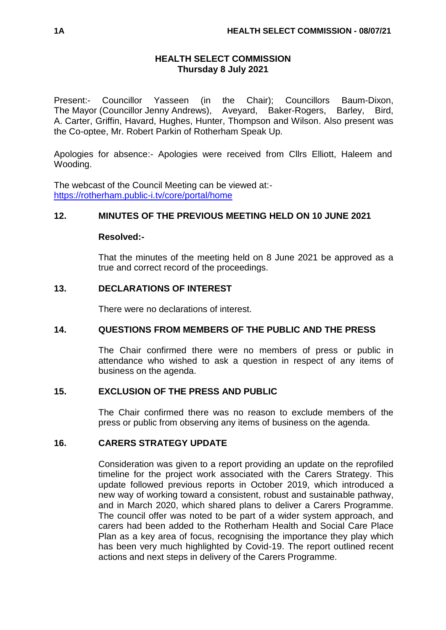### **HEALTH SELECT COMMISSION Thursday 8 July 2021**

Present:- Councillor Yasseen (in the Chair); Councillors Baum-Dixon, The Mayor (Councillor Jenny Andrews), Aveyard, Baker-Rogers, Barley, Bird, A. Carter, Griffin, Havard, Hughes, Hunter, Thompson and Wilson. Also present was the Co-optee, Mr. Robert Parkin of Rotherham Speak Up.

Apologies for absence:- Apologies were received from Cllrs Elliott, Haleem and Wooding.

The webcast of the Council Meeting can be viewed at: <https://rotherham.public-i.tv/core/portal/home>

### **12. MINUTES OF THE PREVIOUS MEETING HELD ON 10 JUNE 2021**

### **Resolved:-**

That the minutes of the meeting held on 8 June 2021 be approved as a true and correct record of the proceedings.

# **13. DECLARATIONS OF INTEREST**

There were no declarations of interest.

### **14. QUESTIONS FROM MEMBERS OF THE PUBLIC AND THE PRESS**

The Chair confirmed there were no members of press or public in attendance who wished to ask a question in respect of any items of business on the agenda.

### **15. EXCLUSION OF THE PRESS AND PUBLIC**

The Chair confirmed there was no reason to exclude members of the press or public from observing any items of business on the agenda.

### **16. CARERS STRATEGY UPDATE**

Consideration was given to a report providing an update on the reprofiled timeline for the project work associated with the Carers Strategy. This update followed previous reports in October 2019, which introduced a new way of working toward a consistent, robust and sustainable pathway, and in March 2020, which shared plans to deliver a Carers Programme. The council offer was noted to be part of a wider system approach, and carers had been added to the Rotherham Health and Social Care Place Plan as a key area of focus, recognising the importance they play which has been very much highlighted by Covid-19. The report outlined recent actions and next steps in delivery of the Carers Programme.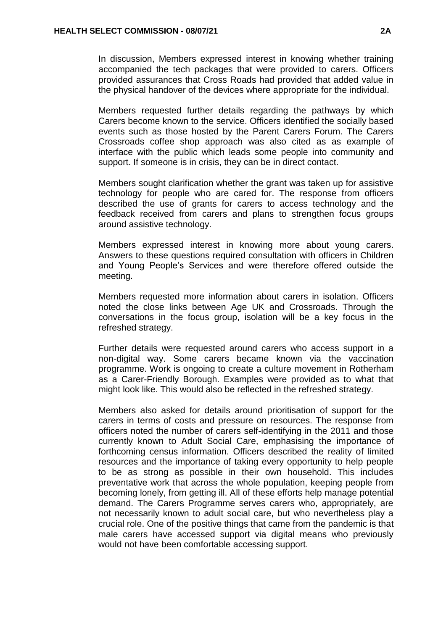In discussion, Members expressed interest in knowing whether training accompanied the tech packages that were provided to carers. Officers provided assurances that Cross Roads had provided that added value in the physical handover of the devices where appropriate for the individual.

Members requested further details regarding the pathways by which Carers become known to the service. Officers identified the socially based events such as those hosted by the Parent Carers Forum. The Carers Crossroads coffee shop approach was also cited as as example of interface with the public which leads some people into community and support. If someone is in crisis, they can be in direct contact.

Members sought clarification whether the grant was taken up for assistive technology for people who are cared for. The response from officers described the use of grants for carers to access technology and the feedback received from carers and plans to strengthen focus groups around assistive technology.

Members expressed interest in knowing more about young carers. Answers to these questions required consultation with officers in Children and Young People's Services and were therefore offered outside the meeting.

Members requested more information about carers in isolation. Officers noted the close links between Age UK and Crossroads. Through the conversations in the focus group, isolation will be a key focus in the refreshed strategy.

Further details were requested around carers who access support in a non-digital way. Some carers became known via the vaccination programme. Work is ongoing to create a culture movement in Rotherham as a Carer-Friendly Borough. Examples were provided as to what that might look like. This would also be reflected in the refreshed strategy.

Members also asked for details around prioritisation of support for the carers in terms of costs and pressure on resources. The response from officers noted the number of carers self-identifying in the 2011 and those currently known to Adult Social Care, emphasising the importance of forthcoming census information. Officers described the reality of limited resources and the importance of taking every opportunity to help people to be as strong as possible in their own household. This includes preventative work that across the whole population, keeping people from becoming lonely, from getting ill. All of these efforts help manage potential demand. The Carers Programme serves carers who, appropriately, are not necessarily known to adult social care, but who nevertheless play a crucial role. One of the positive things that came from the pandemic is that male carers have accessed support via digital means who previously would not have been comfortable accessing support.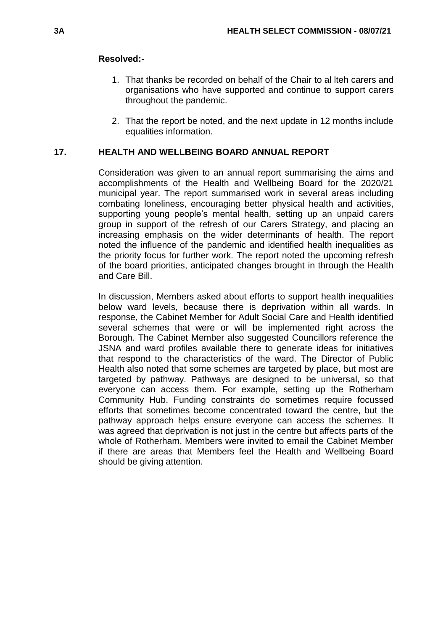#### **Resolved:-**

- 1. That thanks be recorded on behalf of the Chair to al lteh carers and organisations who have supported and continue to support carers throughout the pandemic.
- 2. That the report be noted, and the next update in 12 months include equalities information.

### **17. HEALTH AND WELLBEING BOARD ANNUAL REPORT**

Consideration was given to an annual report summarising the aims and accomplishments of the Health and Wellbeing Board for the 2020/21 municipal year. The report summarised work in several areas including combating loneliness, encouraging better physical health and activities, supporting young people's mental health, setting up an unpaid carers group in support of the refresh of our Carers Strategy, and placing an increasing emphasis on the wider determinants of health. The report noted the influence of the pandemic and identified health inequalities as the priority focus for further work. The report noted the upcoming refresh of the board priorities, anticipated changes brought in through the Health and Care Bill.

In discussion, Members asked about efforts to support health inequalities below ward levels, because there is deprivation within all wards. In response, the Cabinet Member for Adult Social Care and Health identified several schemes that were or will be implemented right across the Borough. The Cabinet Member also suggested Councillors reference the JSNA and ward profiles available there to generate ideas for initiatives that respond to the characteristics of the ward. The Director of Public Health also noted that some schemes are targeted by place, but most are targeted by pathway. Pathways are designed to be universal, so that everyone can access them. For example, setting up the Rotherham Community Hub. Funding constraints do sometimes require focussed efforts that sometimes become concentrated toward the centre, but the pathway approach helps ensure everyone can access the schemes. It was agreed that deprivation is not just in the centre but affects parts of the whole of Rotherham. Members were invited to email the Cabinet Member if there are areas that Members feel the Health and Wellbeing Board should be giving attention.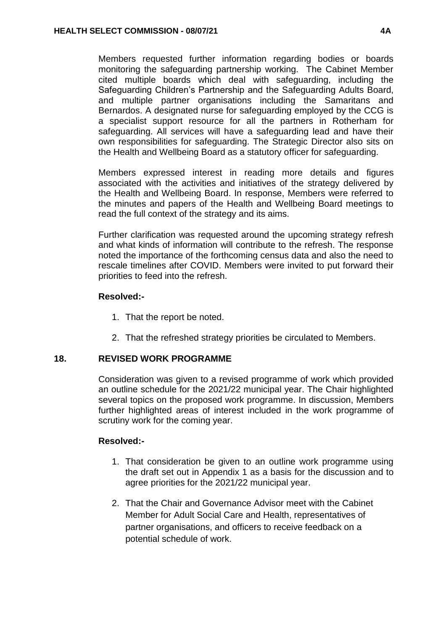Members requested further information regarding bodies or boards monitoring the safeguarding partnership working. The Cabinet Member cited multiple boards which deal with safeguarding, including the Safeguarding Children's Partnership and the Safeguarding Adults Board, and multiple partner organisations including the Samaritans and Bernardos. A designated nurse for safeguarding employed by the CCG is a specialist support resource for all the partners in Rotherham for safeguarding. All services will have a safeguarding lead and have their own responsibilities for safeguarding. The Strategic Director also sits on the Health and Wellbeing Board as a statutory officer for safeguarding.

Members expressed interest in reading more details and figures associated with the activities and initiatives of the strategy delivered by the Health and Wellbeing Board. In response, Members were referred to the minutes and papers of the Health and Wellbeing Board meetings to read the full context of the strategy and its aims.

Further clarification was requested around the upcoming strategy refresh and what kinds of information will contribute to the refresh. The response noted the importance of the forthcoming census data and also the need to rescale timelines after COVID. Members were invited to put forward their priorities to feed into the refresh.

# **Resolved:-**

- 1. That the report be noted.
- 2. That the refreshed strategy priorities be circulated to Members.

# **18. REVISED WORK PROGRAMME**

Consideration was given to a revised programme of work which provided an outline schedule for the 2021/22 municipal year. The Chair highlighted several topics on the proposed work programme. In discussion, Members further highlighted areas of interest included in the work programme of scrutiny work for the coming year.

### **Resolved:-**

- 1. That consideration be given to an outline work programme using the draft set out in Appendix 1 as a basis for the discussion and to agree priorities for the 2021/22 municipal year.
- 2. That the Chair and Governance Advisor meet with the Cabinet Member for Adult Social Care and Health, representatives of partner organisations, and officers to receive feedback on a potential schedule of work.